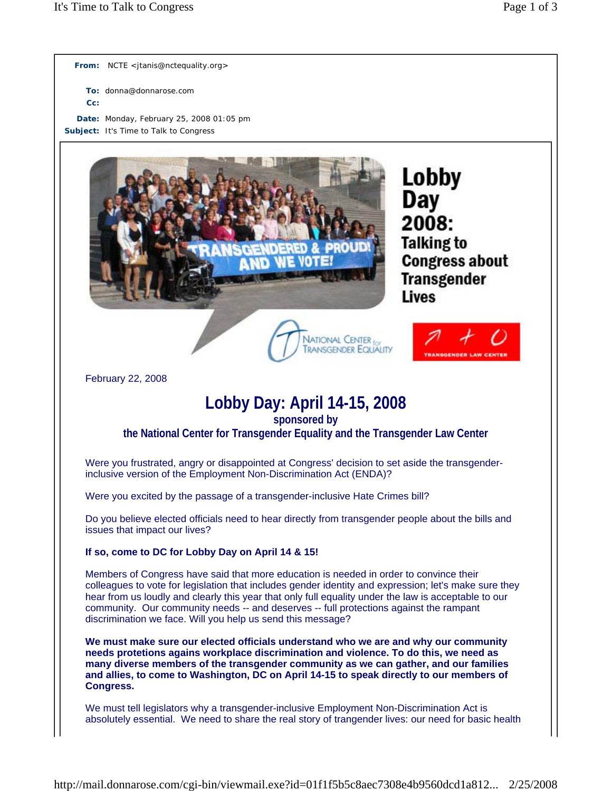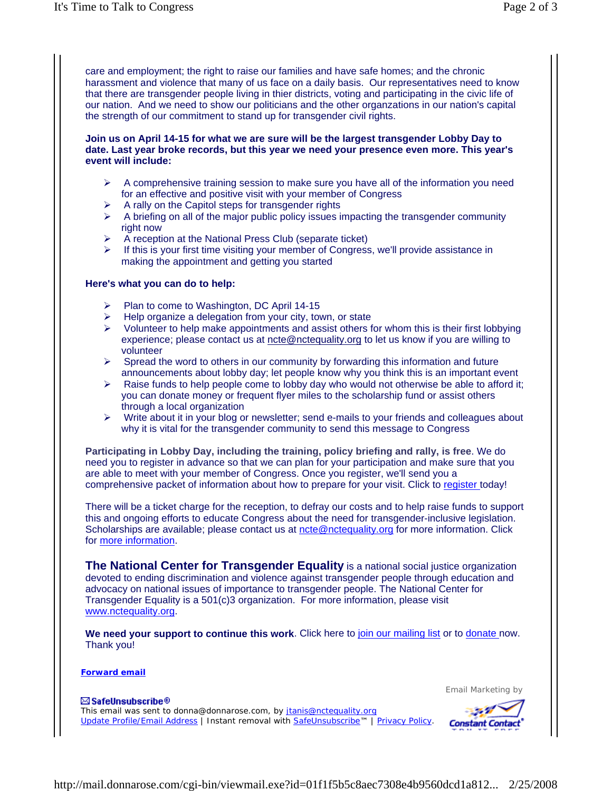care and employment; the right to raise our families and have safe homes; and the chronic harassment and violence that many of us face on a daily basis. Our representatives need to know that there are transgender people living in thier districts, voting and participating in the civic life of our nation. And we need to show our politicians and the other organzations in our nation's capital the strength of our commitment to stand up for transgender civil rights.

## **Join us on April 14-15 for what we are sure will be the largest transgender Lobby Day to date. Last year broke records, but this year we need your presence even more. This year's event will include:**

- $\triangleright$  A comprehensive training session to make sure you have all of the information you need for an effective and positive visit with your member of Congress
- $\triangleright$  A rally on the Capitol steps for transgender rights
- $\triangleright$  A briefing on all of the major public policy issues impacting the transgender community right now
- ¾ A reception at the National Press Club (separate ticket)
- ¾ If this is your first time visiting your member of Congress, we'll provide assistance in making the appointment and getting you started

## **Here's what you can do to help:**

- ¾ Plan to come to Washington, DC April 14-15
- Help organize a delegation from your city, town, or state
- $\triangleright$  Volunteer to help make appointments and assist others for whom this is their first lobbying experience; please contact us at ncte@nctequality.org to let us know if you are willing to volunteer
- $\triangleright$  Spread the word to others in our community by forwarding this information and future announcements about lobby day; let people know why you think this is an important event
- $\triangleright$  Raise funds to help people come to lobby day who would not otherwise be able to afford it; you can donate money or frequent flyer miles to the scholarship fund or assist others through a local organization
- $\triangleright$  Write about it in your blog or newsletter; send e-mails to your friends and colleagues about why it is vital for the transgender community to send this message to Congress

**Participating in Lobby Day, including the training, policy briefing and rally, is free**. We do need you to register in advance so that we can plan for your participation and make sure that you are able to meet with your member of Congress. Once you register, we'll send you a comprehensive packet of information about how to prepare for your visit. Click to register today!

There will be a ticket charge for the reception, to defray our costs and to help raise funds to support this and ongoing efforts to educate Congress about the need for transgender-inclusive legislation. Scholarships are available; please contact us at ncte@nctequality.org for more information. Click for more information.

**The National Center for Transgender Equality** is a national social justice organization devoted to ending discrimination and violence against transgender people through education and advocacy on national issues of importance to transgender people. The National Center for Transgender Equality is a 501(c)3 organization. For more information, please visit www.nctequality.org.

We need your support to continue this work. Click here to join our mailing list or to donate now. Thank you!

**Forward email**

Email Marketing by

 $\boxtimes$  SafeUnsubscribe® This email was sent to donna@donnarose.com, by jtanis@nctequality.org Update Profile/Email Address | Instant removal with SafeUnsubscribe™ | Privacy Policy.